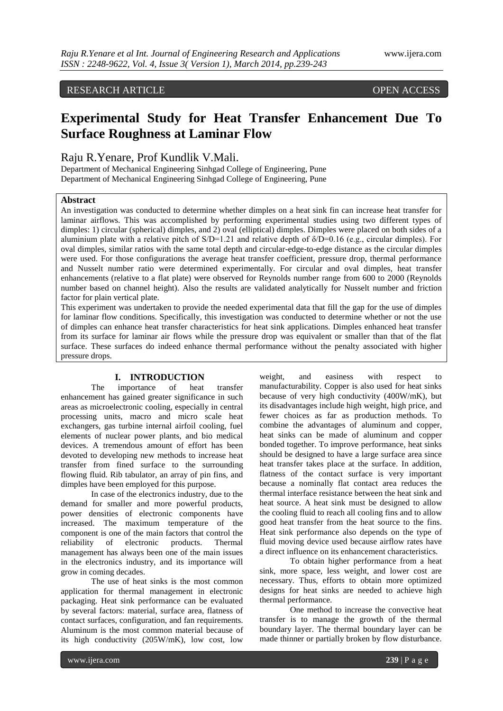# RESEARCH ARTICLE OPEN ACCESS

# **Experimental Study for Heat Transfer Enhancement Due To Surface Roughness at Laminar Flow**

Raju R.Yenare, Prof Kundlik V.Mali.

Department of Mechanical Engineering Sinhgad College of Engineering, Pune Department of Mechanical Engineering Sinhgad College of Engineering, Pune

# **Abstract**

An investigation was conducted to determine whether dimples on a heat sink fin can increase heat transfer for laminar airflows. This was accomplished by performing experimental studies using two different types of dimples: 1) circular (spherical) dimples, and 2) oval (elliptical) dimples. Dimples were placed on both sides of a aluminium plate with a relative pitch of  $S/D=1.21$  and relative depth of  $S/D=0.16$  (e.g., circular dimples). For oval dimples, similar ratios with the same total depth and circular-edge-to-edge distance as the circular dimples were used. For those configurations the average heat transfer coefficient, pressure drop, thermal performance and Nusselt number ratio were determined experimentally. For circular and oval dimples, heat transfer enhancements (relative to a flat plate) were observed for Reynolds number range from 600 to 2000 (Reynolds number based on channel height). Also the results are validated analytically for Nusselt number and friction factor for plain vertical plate.

This experiment was undertaken to provide the needed experimental data that fill the gap for the use of dimples for laminar flow conditions. Specifically, this investigation was conducted to determine whether or not the use of dimples can enhance heat transfer characteristics for heat sink applications. Dimples enhanced heat transfer from its surface for laminar air flows while the pressure drop was equivalent or smaller than that of the flat surface. These surfaces do indeed enhance thermal performance without the penalty associated with higher pressure drops.

## **I. INTRODUCTION**

The importance of heat transfer enhancement has gained greater significance in such areas as microelectronic cooling, especially in central processing units, macro and micro scale heat exchangers, gas turbine internal airfoil cooling, fuel elements of nuclear power plants, and bio medical devices. A tremendous amount of effort has been devoted to developing new methods to increase heat transfer from fined surface to the surrounding flowing fluid. Rib tabulator, an array of pin fins, and dimples have been employed for this purpose.

In case of the electronics industry, due to the demand for smaller and more powerful products, power densities of electronic components have increased. The maximum temperature of the component is one of the main factors that control the reliability of electronic products. Thermal management has always been one of the main issues in the electronics industry, and its importance will grow in coming decades.

The use of heat sinks is the most common application for thermal management in electronic packaging. Heat sink performance can be evaluated by several factors: material, surface area, flatness of contact surfaces, configuration, and fan requirements. Aluminum is the most common material because of its high conductivity (205W/mK), low cost, low

weight, and easiness with respect to manufacturability. Copper is also used for heat sinks because of very high conductivity (400W/mK), but its disadvantages include high weight, high price, and fewer choices as far as production methods. To combine the advantages of aluminum and copper, heat sinks can be made of aluminum and copper bonded together. To improve performance, heat sinks should be designed to have a large surface area since heat transfer takes place at the surface. In addition, flatness of the contact surface is very important because a nominally flat contact area reduces the thermal interface resistance between the heat sink and heat source. A heat sink must be designed to allow the cooling fluid to reach all cooling fins and to allow good heat transfer from the heat source to the fins. Heat sink performance also depends on the type of fluid moving device used because airflow rates have a direct influence on its enhancement characteristics.

To obtain higher performance from a heat sink, more space, less weight, and lower cost are necessary. Thus, efforts to obtain more optimized designs for heat sinks are needed to achieve high thermal performance.

One method to increase the convective heat transfer is to manage the growth of the thermal boundary layer. The thermal boundary layer can be made thinner or partially broken by flow disturbance.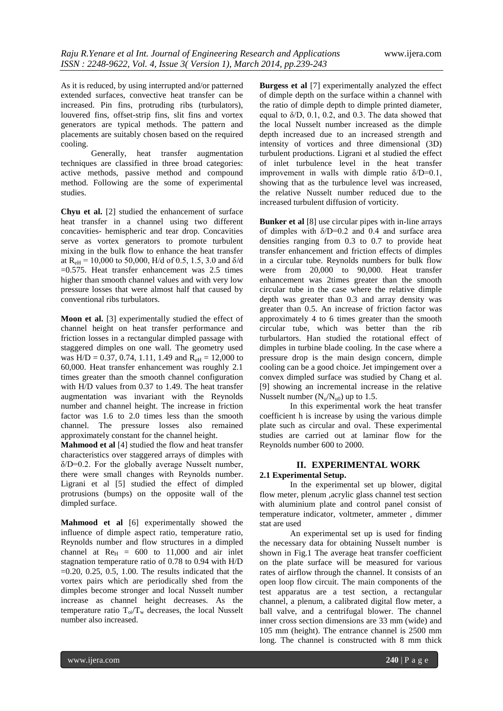As it is reduced, by using interrupted and/or patterned extended surfaces, convective heat transfer can be increased. Pin fins, protruding ribs (turbulators), louvered fins, offset-strip fins, slit fins and vortex generators are typical methods. The pattern and placements are suitably chosen based on the required cooling.

Generally, heat transfer augmentation techniques are classified in three broad categories: active methods, passive method and compound method. Following are the some of experimental studies.

**Chyu et al.** [2] studied the enhancement of surface heat transfer in a channel using two different concavities- hemispheric and tear drop. Concavities serve as vortex generators to promote turbulent mixing in the bulk flow to enhance the heat transfer at  $R_{\text{eH}} = 10,000$  to 50,000, H/d of 0.5, 1.5, 3.0 and  $\delta/d$ =0.575. Heat transfer enhancement was 2.5 times higher than smooth channel values and with very low pressure losses that were almost half that caused by conventional ribs turbulators.

**Moon et al.** [3] experimentally studied the effect of channel height on heat transfer performance and friction losses in a rectangular dimpled passage with staggered dimples on one wall. The geometry used was  $H/D = 0.37, 0.74, 1.11, 1.49$  and  $R_{\text{eH}} = 12,000$  to 60,000. Heat transfer enhancement was roughly 2.1 times greater than the smooth channel configuration with H/D values from 0.37 to 1.49. The heat transfer augmentation was invariant with the Reynolds number and channel height. The increase in friction factor was 1.6 to 2.0 times less than the smooth channel. The pressure losses also remained approximately constant for the channel height.

**Mahmood et al** [4] studied the flow and heat transfer characteristics over staggered arrays of dimples with  $\delta/D=0.2$ . For the globally average Nusselt number, there were small changes with Reynolds number. Ligrani et al [5] studied the effect of dimpled protrusions (bumps) on the opposite wall of the dimpled surface.

**Mahmood et al** [6] experimentally showed the influence of dimple aspect ratio, temperature ratio, Reynolds number and flow structures in a dimpled channel at  $Re<sub>H</sub> = 600$  to 11,000 and air inlet stagnation temperature ratio of 0.78 to 0.94 with H/D  $=0.20, 0.25, 0.5, 1.00$ . The results indicated that the vortex pairs which are periodically shed from the dimples become stronger and local Nusselt number increase as channel height decreases. As the temperature ratio  $T_{oi}/T_w$  decreases, the local Nusselt number also increased.

**Burgess et al** [7] experimentally analyzed the effect of dimple depth on the surface within a channel with the ratio of dimple depth to dimple printed diameter, equal to  $\delta$ /D, 0.1, 0.2, and 0.3. The data showed that the local Nusselt number increased as the dimple depth increased due to an increased strength and intensity of vortices and three dimensional (3D) turbulent productions. Ligrani et al studied the effect of inlet turbulence level in the heat transfer improvement in walls with dimple ratio  $\delta/D=0.1$ . showing that as the turbulence level was increased, the relative Nusselt number reduced due to the increased turbulent diffusion of vorticity.

**Bunker et al** [8] use circular pipes with in-line arrays of dimples with  $\delta/D=0.2$  and 0.4 and surface area densities ranging from 0.3 to 0.7 to provide heat transfer enhancement and friction effects of dimples in a circular tube. Reynolds numbers for bulk flow were from 20,000 to 90,000. Heat transfer enhancement was 2times greater than the smooth circular tube in the case where the relative dimple depth was greater than 0.3 and array density was greater than 0.5. An increase of friction factor was approximately 4 to 6 times greater than the smooth circular tube, which was better than the rib turbulartors. Han studied the rotational effect of dimples in turbine blade cooling. In the case where a pressure drop is the main design concern, dimple cooling can be a good choice. Jet impingement over a convex dimpled surface was studied by Chang et al. [9] showing an incremental increase in the relative Nusselt number  $(N_u/N_{u0})$  up to 1.5.

In this experimental work the heat transfer coefficient h is increase by using the various dimple plate such as circular and oval. These experimental studies are carried out at laminar flow for the Reynolds number 600 to 2000.

## **II. EXPERIMENTAL WORK 2.1 Experimental Setup.**

In the experimental set up blower, digital flow meter, plenum ,acrylic glass channel test section with aluminium plate and control panel consist of temperature indicator, voltmeter, ammeter , dimmer stat are used

An experimental set up is used for finding the necessary data for obtaining Nusselt number is shown in Fig.1 The average heat transfer coefficient on the plate surface will be measured for various rates of airflow through the channel. It consists of an open loop flow circuit. The main components of the test apparatus are a test section, a rectangular channel, a plenum, a calibrated digital flow meter, a ball valve, and a centrifugal blower. The channel inner cross section dimensions are 33 mm (wide) and 105 mm (height). The entrance channel is 2500 mm long. The channel is constructed with 8 mm thick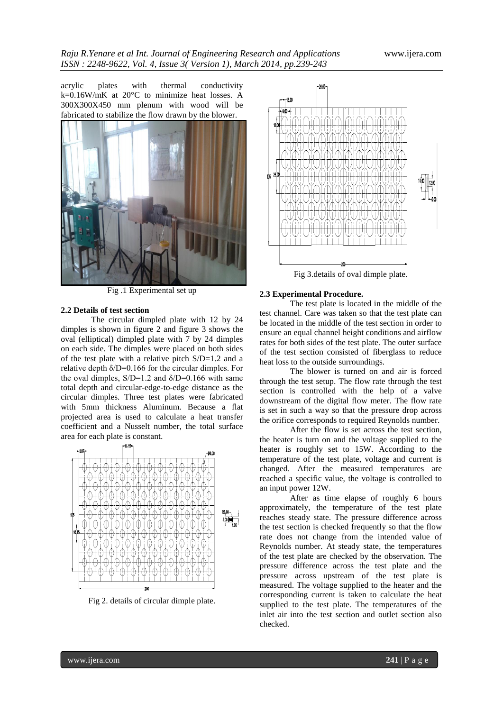acrylic plates with thermal conductivity k=0.16W/mK at 20°C to minimize heat losses. A 300X300X450 mm plenum with wood will be fabricated to stabilize the flow drawn by the blower.



Fig .1 Experimental set up

#### **2.2 Details of test section**

The circular dimpled plate with 12 by 24 dimples is shown in figure 2 and figure 3 shows the oval (elliptical) dimpled plate with 7 by 24 dimples on each side. The dimples were placed on both sides of the test plate with a relative pitch S/D=1.2 and a relative depth  $\delta/D=0.166$  for the circular dimples. For the oval dimples,  $S/D=1.2$  and  $\delta/D=0.166$  with same total depth and circular-edge-to-edge distance as the circular dimples. Three test plates were fabricated with 5mm thickness Aluminum. Because a flat projected area is used to calculate a heat transfer coefficient and a Nusselt number, the total surface area for each plate is constant.



Fig 2. details of circular dimple plate.



Fig 3.details of oval dimple plate.

#### **2.3 Experimental Procedure.**

The test plate is located in the middle of the test channel. Care was taken so that the test plate can be located in the middle of the test section in order to ensure an equal channel height conditions and airflow rates for both sides of the test plate. The outer surface of the test section consisted of fiberglass to reduce heat loss to the outside surroundings.

The blower is turned on and air is forced through the test setup. The flow rate through the test section is controlled with the help of a valve downstream of the digital flow meter. The flow rate is set in such a way so that the pressure drop across the orifice corresponds to required Reynolds number.

After the flow is set across the test section, the heater is turn on and the voltage supplied to the heater is roughly set to 15W. According to the temperature of the test plate, voltage and current is changed. After the measured temperatures are reached a specific value, the voltage is controlled to an input power 12W.

After as time elapse of roughly 6 hours approximately, the temperature of the test plate reaches steady state. The pressure difference across the test section is checked frequently so that the flow rate does not change from the intended value of Reynolds number. At steady state, the temperatures of the test plate are checked by the observation. The pressure difference across the test plate and the pressure across upstream of the test plate is measured. The voltage supplied to the heater and the corresponding current is taken to calculate the heat supplied to the test plate. The temperatures of the inlet air into the test section and outlet section also checked.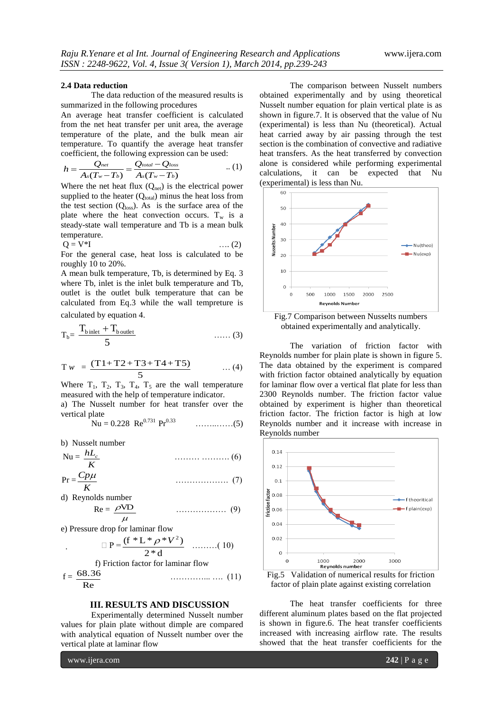#### **2.4 Data reduction**

The data reduction of the measured results is summarized in the following procedures

An average heat transfer coefficient is calculated from the net heat transfer per unit area, the average temperature of the plate, and the bulk mean air temperature. To quantify the average heat transfer

coefficient, the following expression can be used:  
\n
$$
h = \frac{Q_{net}}{A_s(T_w - T_b)} = \frac{Q_{total} - Q_{loss}}{A_s(T_w - T_b)}
$$
...(1)

Where the net heat flux  $(Q_{net})$  is the electrical power supplied to the heater  $(Q_{total})$  minus the heat loss from the test section  $(Q<sub>loss</sub>)$ . As is the surface area of the plate where the heat convection occurs.  $T_w$  is a steady-state wall temperature and Tb is a mean bulk temperature.

$$
Q = V^*I \qquad \qquad \dots (2)
$$

For the general case, heat loss is calculated to be roughly 10 to 20%.

A mean bulk temperature, Tb, is determined by Eq. 3 where Tb, inlet is the inlet bulk temperature and Tb, outlet is the outlet bulk temperature that can be calculated from Eq.3 while the wall tempreture is calculated by equation 4.

$$
T_b = \frac{T_{b\text{ inlet}} + T_{b\text{ outlet}}}{5} \qquad \qquad \dots \dots (3)
$$

$$
Tw = \frac{(T1+T2+T3+T4+T5)}{5} \qquad \dots (4)
$$

Where  $T_1$ ,  $T_2$ ,  $T_3$ ,  $T_4$ ,  $T_5$  are the wall temperature measured with the help of temperature indicator.

a) The Nusselt number for heat transfer over the vertical plate

Nu = 0.228 Re0.731 Pr0.33 ……..……(5)

b) Nusselt number

$$
Nu = \frac{hL_c}{K}
$$
 (6)

 $Pr = \frac{CP}{K}$ *Cp* ………………. (7)

d) Reynolds number

$$
Re = \frac{\rho V D}{\mu} \qquad \qquad \dots \dots \dots \dots \dots \tag{9}
$$

e) Pressure drop for laminar flow

$$
\Box P = \frac{(f * L * \rho * V^2)}{2 * d} \quad \dots \dots \dots (10)
$$

f) Friction factor for laminar flow

$$
f = \frac{68.36}{Re}
$$
 (11)

# **III. RESULTS AND DISCUSSION**

Experimentally determined Nusselt number values for plain plate without dimple are compared with analytical equation of Nusselt number over the vertical plate at laminar flow

The comparison between Nusselt numbers obtained experimentally and by using theoretical Nusselt number equation for plain vertical plate is as shown in figure.7. It is observed that the value of Nu (experimental) is less than Nu (theoretical). Actual heat carried away by air passing through the test section is the combination of convective and radiative heat transfers. As the heat transferred by convection alone is considered while performing experimental calculations, it can be expected that Nu (experimental) is less than Nu.



Fig.7 Comparison between Nusselts numbers obtained experimentally and analytically.

The variation of friction factor with Reynolds number for plain plate is shown in figure 5. The data obtained by the experiment is compared with friction factor obtained analytically by equation for laminar flow over a vertical flat plate for less than 2300 Reynolds number. The friction factor value obtained by experiment is higher than theoretical friction factor. The friction factor is high at low Reynolds number and it increase with increase in Reynolds number





The heat transfer coefficients for three different aluminum plates based on the flat projected is shown in figure.6. The heat transfer coefficients increased with increasing airflow rate. The results showed that the heat transfer coefficients for the

www.ijera.com **242** | P a g e